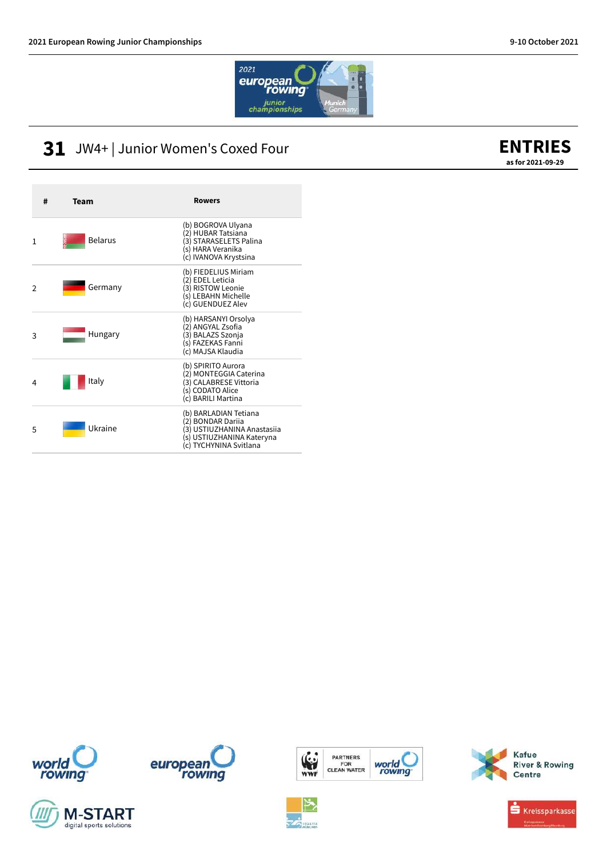

### **31** JW4+ | Junior Women's Coxed Four

#### **ENTRIES as for 2021-09-29**

| #              | Team           | <b>Rowers</b>                                                                                                                    |
|----------------|----------------|----------------------------------------------------------------------------------------------------------------------------------|
| 1              | <b>Belarus</b> | (b) BOGROVA Ulyana<br>(2) HUBAR Tatsiana<br>(3) STARASELETS Palina<br>(s) HARA Veranika<br>(c) IVANOVA Krystsina                 |
| $\mathfrak{p}$ | Germany        | (b) FIEDELIUS Miriam<br>(2) EDEL Leticia<br>(3) RISTOW Leonie<br>(s) LEBAHN Michelle<br>(c) GUENDUEZ Alev                        |
| 3              | Hungary        | (b) HARSANYI Orsolya<br>(2) ANGYAL Zsofia<br>(3) BALAZS Szonja<br>(s) FAZEKAS Fanni<br>(c) MAJSA Klaudia                         |
| 4              | Italy          | (b) SPIRITO Aurora<br>(2) MONTEGGIA Caterina<br>(3) CALABRESE Vittoria<br>(s) CODATO Alice<br>(c) BARILI Martina                 |
| 5              | Ukraine        | (b) BARLADIAN Tetiana<br>(2) BONDAR Darija<br>(3) USTIUZHANINA Anastasiia<br>(s) USTIUZHANINA Kateryna<br>(c) TYCHYNINA Svitlana |











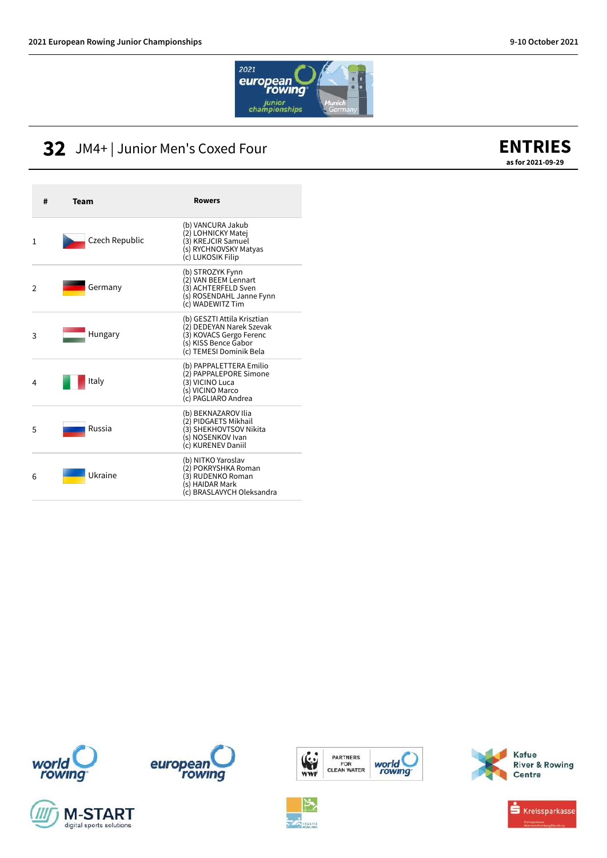

### **32** JM4+ | Junior Men's Coxed Four



| #              | <b>Team</b>    | <b>Rowers</b>                                                                                                                         |
|----------------|----------------|---------------------------------------------------------------------------------------------------------------------------------------|
| 1              | Czech Republic | (b) VANCURA Jakub<br>(2) LOHNICKY Matej<br>(3) KREJCIR Samuel<br>(s) RYCHNOVSKY Matyas<br>(c) LUKOSIK Filip                           |
| $\mathfrak{D}$ | Germany        | (b) STROZYK Fynn<br>(2) VAN BEEM Lennart<br>(3) ACHTERFELD Sven<br>(s) ROSENDAHL Janne Fynn<br>(c) WADEWITZ Tim                       |
| 3              | Hungary        | (b) GESZTI Attila Krisztian<br>(2) DEDEYAN Narek Szevak<br>(3) KOVACS Gergo Ferenc<br>(s) KISS Bence Gabor<br>(c) TEMESI Dominik Bela |
| 4              | Italy          | (b) PAPPALETTERA Emilio<br>(2) PAPPALEPORE Simone<br>(3) VICINO Luca<br>(s) VICINO Marco<br>(c) PAGLIARO Andrea                       |
| 5              | Russia         | (b) BEKNAZAROV Ilia<br>(2) PIDGAETS Mikhail<br>(3) SHEKHOVTSOV Nikita<br>(s) NOSENKOV Ivan<br>(c) KURENEV Daniil                      |
| 6              | Ukraine        | (b) NITKO Yaroslav<br>(2) POKRYSHKA Roman<br>(3) RUDENKO Roman<br>(s) HAIDAR Mark<br>(c) BRASLAVYCH Oleksandra                        |













**River & Rowing**<br>Centre

Kafue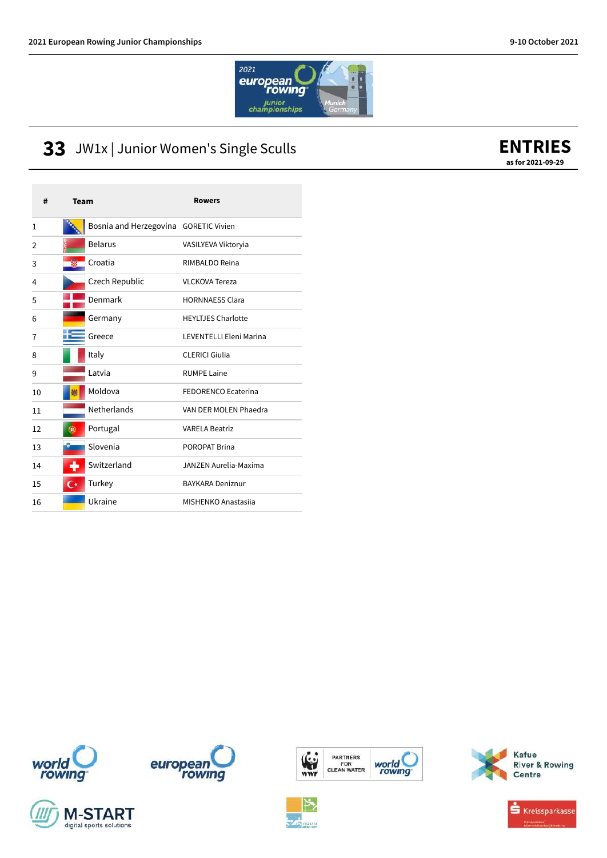

### JW1x | Junior Women's Single Sculls

| #  | Team                                  | <b>Rowers</b>                  |
|----|---------------------------------------|--------------------------------|
| 1  | Bosnia and Herzegovina GORETIC Vivien |                                |
| 2  | <b>Belarus</b>                        | VASILYEVA Viktoryia            |
| 3  | Croatia                               | RIMBALDO Reina                 |
| 4  | Czech Republic                        | <b>VLCKOVA Tereza</b>          |
| 5  | Denmark                               | <b>HORNNAESS Clara</b>         |
| 6  | Germany                               | <b>HEYLTJES Charlotte</b>      |
| 7  | Greece                                | <b>LEVENTELLI Eleni Marina</b> |
| 8  | Italy                                 | <b>CLERICI Giulia</b>          |
| 9  | Latvia                                | <b>RUMPE Laine</b>             |
| 10 | Moldova                               | FEDORENCO Ecaterina            |
| 11 | Netherlands                           | VAN DER MOLEN Phaedra          |
| 12 | Portugal<br>Úβ,                       | <b>VARELA Beatriz</b>          |
| 13 | Slovenia                              | POROPAT Brina                  |
| 14 | Switzerland                           | JANZEN Aurelia-Maxima          |
| 15 | Turkey<br>$\mathsf{C}^*$              | <b>BAYKARA Deniznur</b>        |
| 16 | Ukraine                               | <b>MISHENKO Anastasija</b>     |













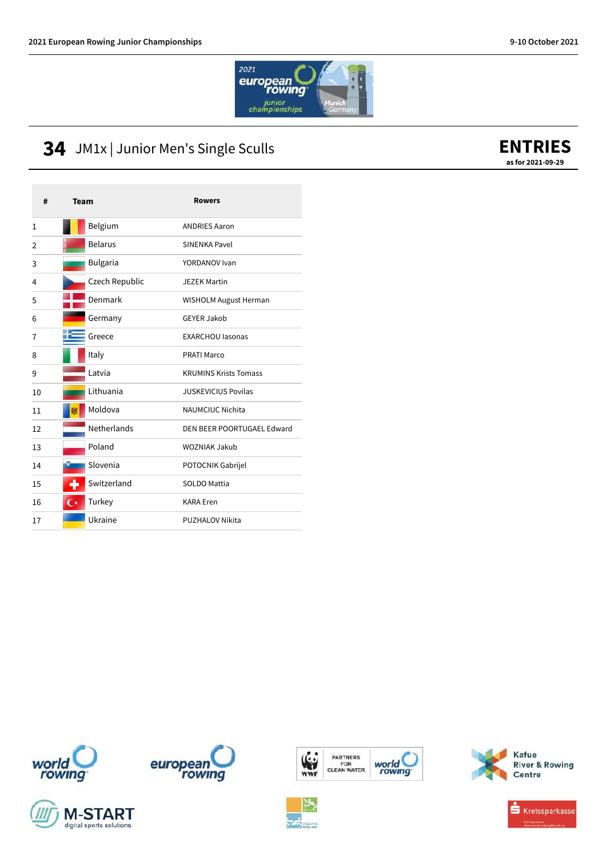

## JM1x | Junior Men's Single Sculls

#### **ENTRIES as for 2021-09-29**

| #  | Team                     | <b>Rowers</b>                |
|----|--------------------------|------------------------------|
| 1  | Belgium                  | <b>ANDRIES Aaron</b>         |
| 2  | <b>Belarus</b>           | SINENKA Pavel                |
| 3  | Bulgaria                 | YORDANOV Ivan                |
| 4  | Czech Republic           | <b>JEZEK Martin</b>          |
| 5  | Denmark                  | <b>WISHOLM August Herman</b> |
| 6  | Germany                  | GFYFR Jakob                  |
| 7  | Greece                   | <b>EXARCHOU lasonas</b>      |
| 8  | Italy                    | <b>PRATI Marco</b>           |
| 9  | I atvia                  | <b>KRUMINS Krists Tomass</b> |
| 10 | I ithuania               | <b>JUSKEVICIUS Povilas</b>   |
| 11 | Moldova                  | NAUMCIUC Nichita             |
| 12 | <b>Netherlands</b>       | DEN BEER POORTUGAEL Edward   |
| 13 | Poland                   | WOZNIAK Jakub                |
| 14 | Slovenia                 | POTOCNIK Gabrijel            |
| 15 | Switzerland              | SOLDO Mattia                 |
| 16 | Turkey<br>$\mathsf{C}^*$ | <b>KARA Eren</b>             |
| 17 | Ukraine                  | <b>PUZHALOV Nikita</b>       |











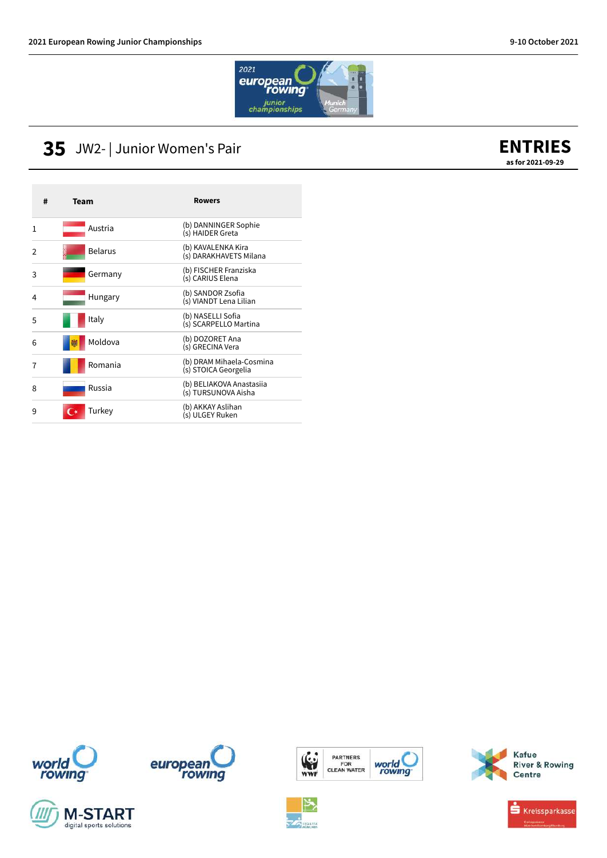

#### **35** JW2- | Junior Women's Pair



| #             | Team           | <b>Rowers</b>                                    |
|---------------|----------------|--------------------------------------------------|
| 1             | Austria        | (b) DANNINGER Sophie<br>(s) HAIDER Greta         |
| $\mathcal{P}$ | <b>Belarus</b> | (b) KAVALENKA Kira<br>(s) DARAKHAVETS Milana     |
| 3             | Germany        | (b) FISCHER Franziska<br>(s) CARIUS Elena        |
| 4             | Hungary        | (b) SANDOR Zsofia<br>(s) VIANDT Lena Lilian      |
| 5             | Italy          | (b) NASELLI Sofia<br>(s) SCARPELLO Martina       |
| 6             | Moldova        | (b) DOZORET Ana<br>(s) GRECINA Vera              |
| 7             | Romania        | (b) DRAM Mihaela-Cosmina<br>(s) STOICA Georgelia |
| 8             | Russia         | (b) BELIAKOVA Anastasiia<br>(s) TURSUNOVA Aisha  |
| 9             | Turkey         | (b) AKKAY Aslihan<br>(s) ULGEY Ruken             |



![](_page_4_Picture_7.jpeg)

![](_page_4_Picture_8.jpeg)

![](_page_4_Picture_9.jpeg)

![](_page_4_Picture_10.jpeg)

![](_page_4_Picture_12.jpeg)

**River & Rowing**<br>Centre

Kafue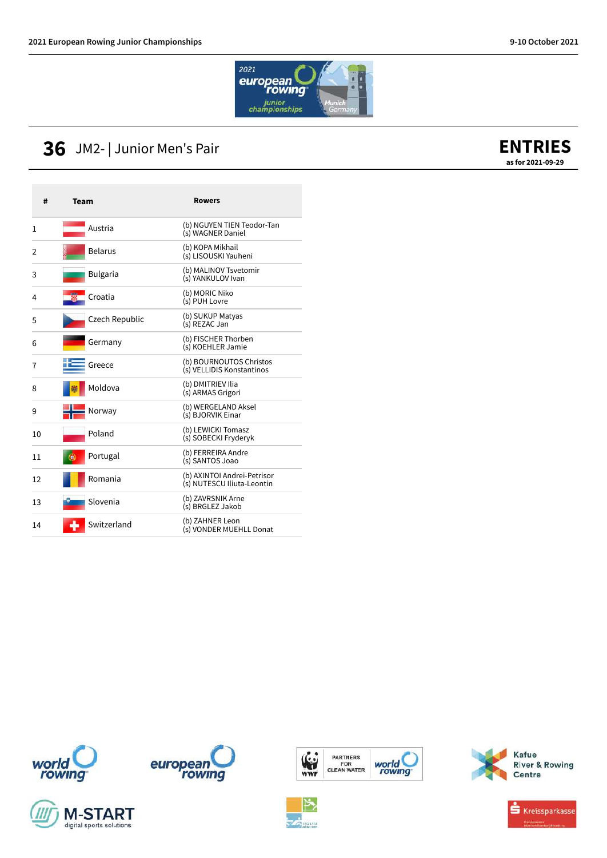![](_page_5_Picture_2.jpeg)

### **36** JM2- | Junior Men's Pair

![](_page_5_Picture_4.jpeg)

| #  | Team            | Rowers                                                    |
|----|-----------------|-----------------------------------------------------------|
| 1  | Austria         | (b) NGUYEN TIEN Teodor-Tan<br>(s) WAGNER Daniel           |
| 2  | <b>Belarus</b>  | (b) KOPA Mikhail<br>(s) LISOUSKI Yauheni                  |
| 3  | <b>Bulgaria</b> | (b) MALINOV Tsvetomir<br>(s) YANKULOV Ivan                |
| 4  | Croatia         | (b) MORIC Niko<br>(s) PUH Lovre                           |
| 5  | Czech Republic  | (b) SUKUP Matyas<br>(s) REZAC Jan                         |
| 6  | Germany         | (b) FISCHER Thorben<br>(s) KOEHLER Jamie                  |
| 7  | Greece          | (b) BOURNOUTOS Christos<br>(s) VELLIDIS Konstantinos      |
| 8  | Moldova         | (b) DMITRIEV Ilia<br>(s) ARMAS Grigori                    |
| 9  | Norway          | (b) WERGELAND Aksel<br>(s) BJORVIK Einar                  |
| 10 | Poland          | (b) LEWICKI Tomasz<br>(s) SOBECKI Fryderyk                |
| 11 | Portugal<br>ÚΒ, | (b) FERREIRA Andre<br>(s) SANTOS Joao                     |
| 12 | Romania         | (b) AXINTOI Andrei-Petrisor<br>(s) NUTESCU Iliuta-Leontin |
| 13 | Slovenia        | (b) ZAVRSNIK Arne<br>(s) BRGLEZ Jakob                     |
| 14 | Switzerland     | (b) ZAHNER Leon<br>(s) VONDER MUEHLL Donat                |

![](_page_5_Picture_6.jpeg)

![](_page_5_Picture_7.jpeg)

![](_page_5_Picture_8.jpeg)

![](_page_5_Picture_9.jpeg)

![](_page_5_Picture_10.jpeg)

![](_page_5_Picture_11.jpeg)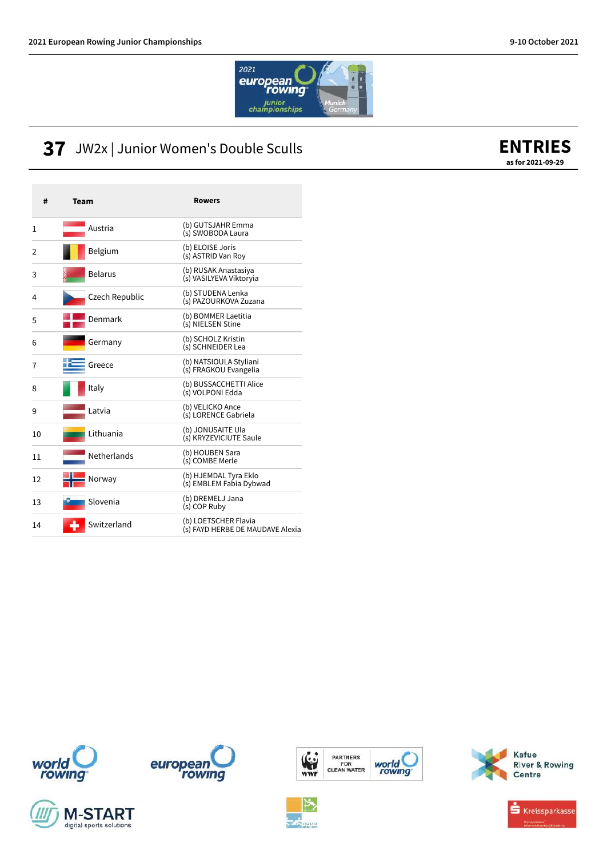![](_page_6_Picture_2.jpeg)

### **37** JW2x | Junior Women's Double Sculls

| #  | <b>Team</b>        | <b>Rowers</b>                                            |
|----|--------------------|----------------------------------------------------------|
| 1  | Austria            | (b) GUTSJAHR Emma<br>(s) SWOBODA Laura                   |
| 2  | Belgium            | (b) ELOISE Joris<br>(s) ASTRID Van Roy                   |
| 3  | <b>Belarus</b>     | (b) RUSAK Anastasiya<br>(s) VASILYEVA Viktoryia          |
| 4  | Czech Republic     | (b) STUDENA Lenka<br>(s) PAZOURKOVA Zuzana               |
| 5  | Denmark            | (b) BOMMER Laetitia<br>(s) NIELSEN Stine                 |
| 6  | Germany            | (b) SCHOLZ Kristin<br>(s) SCHNEIDER Lea                  |
| 7  | Greece             | (b) NATSIOULA Styliani<br>(s) FRAGKOU Evangelia          |
| 8  | Italy              | (b) BUSSACCHETTI Alice<br>(s) VOLPONI Edda               |
| 9  | Latvia             | (b) VELICKO Ance<br>(s) LORENCE Gabriela                 |
| 10 | Lithuania          | (b) JONUSAITE Ula<br>(s) KRYZEVICIUTE Saule              |
| 11 | <b>Netherlands</b> | (b) HOUBEN Sara<br>(s) COMBE Merle                       |
| 12 | Norway             | (b) HJEMDAL Tyra Eklo<br>(s) EMBLEM Fabia Dybwad         |
| 13 | Slovenia           | (b) DREMELJ Jana<br>(s) COP Ruby                         |
| 14 | Switzerland        | (b) LOETSCHER Flavia<br>(s) FAYD HERBE DE MAUDAVE Alexia |

![](_page_6_Picture_5.jpeg)

![](_page_6_Picture_6.jpeg)

![](_page_6_Picture_7.jpeg)

![](_page_6_Picture_8.jpeg)

![](_page_6_Picture_9.jpeg)

![](_page_6_Picture_10.jpeg)

![](_page_6_Picture_11.jpeg)

![](_page_6_Picture_12.jpeg)

# **ENTRIES**

**as for 2021-09-29**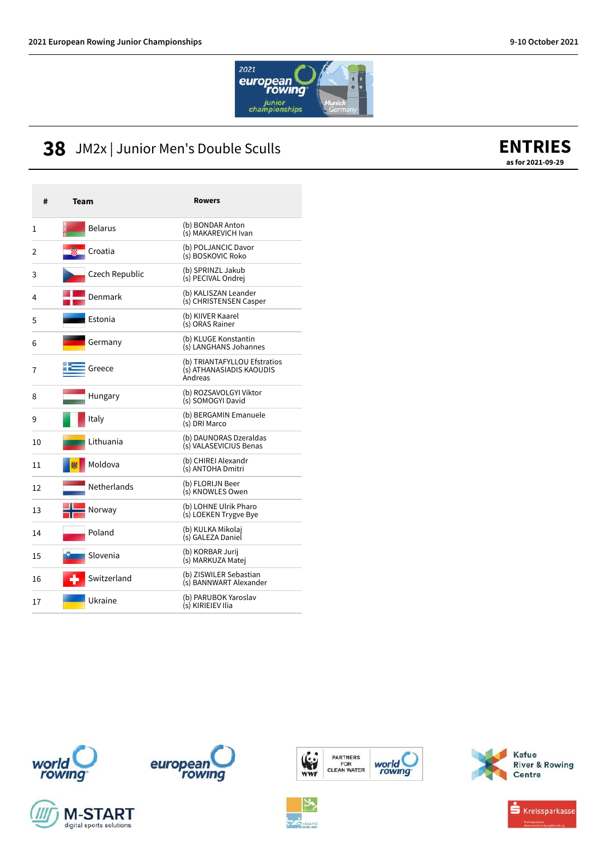![](_page_7_Picture_2.jpeg)

### **38** JM2x | Junior Men's Double Sculls

| #  | <b>Team</b>    | <b>Rowers</b>                                                       |
|----|----------------|---------------------------------------------------------------------|
| 1  | <b>Belarus</b> | (b) BONDAR Anton<br>(s) MAKAREVICH Ivan                             |
| 2  | Croatia        | (b) POLJANCIC Davor<br>(s) BOSKOVIC Roko                            |
| 3  | Czech Republic | (b) SPRINZL Jakub<br>(s) PECIVAL Ondrej                             |
| 4  | Denmark        | (b) KALISZAN Leander<br>(s) CHRISTENSEN Casper                      |
| 5  | Estonia        | (b) KIIVER Kaarel<br>(s) ORAS Rainer                                |
| 6  | Germany        | (b) KLUGE Konstantin<br>(s) LANGHANS Johannes                       |
| 7  | Greece         | (b) TRIANTAFYLLOU Efstratios<br>(s) ATHANASIADIS KAOUDIS<br>Andreas |
| 8  | Hungary        | (b) ROZSAVOLGYI Viktor<br>(s) SOMOGYI David                         |
| 9  | Italy          | (b) BERGAMIN Emanuele<br>(s) DRI Marco                              |
| 10 | Lithuania      | (b) DAUNORAS Dzeraldas<br>(s) VALASEVICIUS Benas                    |
| 11 | Moldova        | (b) CHIREI Alexandr<br>(s) ANTOHA Dmitri                            |
| 12 | Netherlands    | (b) FLORIJN Beer<br>(s) KNOWLES Owen                                |
| 13 | Norway         | (b) LOHNE Ulrik Pharo<br>(s) LOEKEN Trygve Bye                      |
| 14 | Poland         | (b) KULKA Mikolaj<br>(s) GALEZA Daniel                              |
| 15 | Slovenia       | (b) KORBAR Jurij<br>(s) MARKUZA Matej                               |
| 16 | Switzerland    | (b) ZISWILER Sebastian<br>(s) BANNWART Alexander                    |
| 17 | Ukraine        | (b) PARUBOK Yaroslav<br>(s) KIRIEIEV Ilia                           |

![](_page_7_Picture_5.jpeg)

![](_page_7_Picture_6.jpeg)

![](_page_7_Picture_7.jpeg)

![](_page_7_Picture_8.jpeg)

**Via** 

PARTNERS<br>FOR<br>CLEAN WATER

world<br>rowing

![](_page_7_Picture_9.jpeg)

![](_page_7_Picture_10.jpeg)

# **ENTRIES**

**as for 2021-09-29**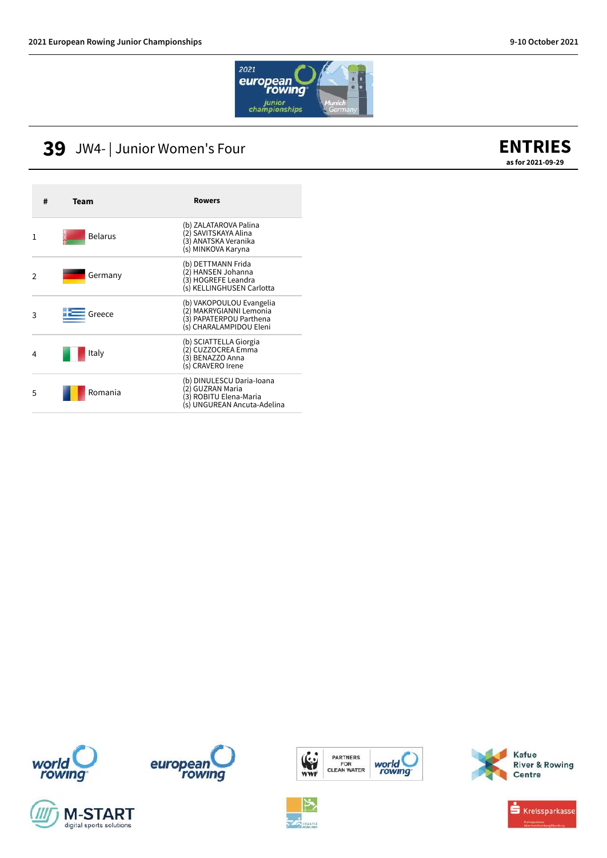![](_page_8_Picture_2.jpeg)

#### **39** JW4- | Junior Women's Four

#### **ENTRIES as for 2021-09-29**

| # | Team           | <b>Rowers</b>                                                                                             |
|---|----------------|-----------------------------------------------------------------------------------------------------------|
| 1 | <b>Belarus</b> | (b) ZALATAROVA Palina<br>(2) SAVITSKAYA Alina<br>(3) ANATSKA Veranika<br>(s) MINKOVA Karyna               |
| 2 | Germany        | (b) DETTMANN Frida<br>(2) HANSEN Johanna<br>(3) HOGREFE Leandra<br>(s) KELLINGHUSEN Carlotta              |
| 3 | Greece         | (b) VAKOPOULOU Evangelia<br>(2) MAKRYGIANNI Lemonia<br>(3) PAPATERPOU Parthena<br>(s) CHARALAMPIDOU Eleni |
| 4 | Italy          | (b) SCIATTELLA Giorgia<br>(2) CUZZOCREA Emma<br>(3) BENAZZO Anna<br>(s) CRAVERO Irene                     |
| 5 | Romania        | (b) DINULESCU Daria-Ioana<br>2) GUZRAN Maria<br>(3) ROBITU Elena-Maria<br>(s) UNGUREAN Ancuta-Adelina     |

![](_page_8_Picture_6.jpeg)

![](_page_8_Picture_7.jpeg)

![](_page_8_Picture_8.jpeg)

![](_page_8_Picture_9.jpeg)

![](_page_8_Picture_10.jpeg)

![](_page_8_Picture_11.jpeg)

![](_page_8_Picture_12.jpeg)

Kafue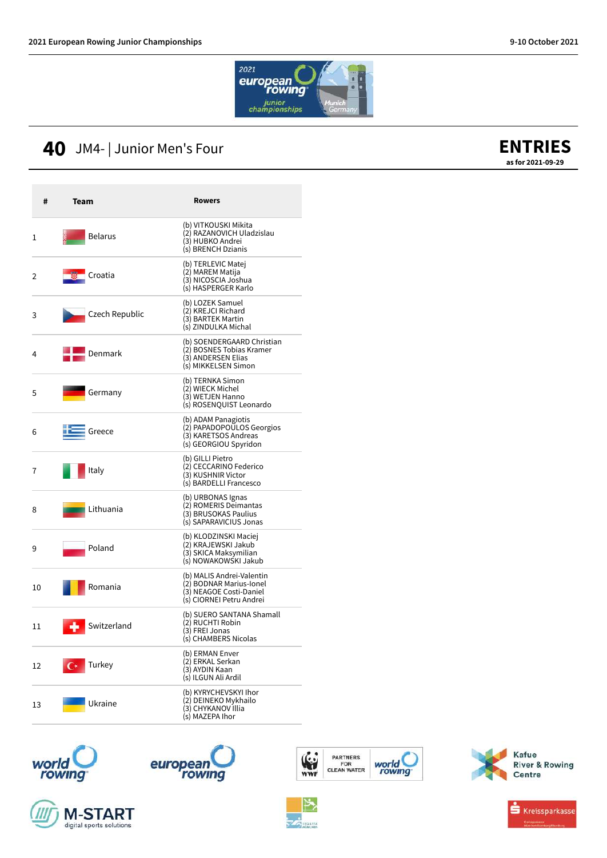![](_page_9_Picture_2.jpeg)

## **40** JM4- | Junior Men's Four

![](_page_9_Picture_4.jpeg)

| #  | Team                     | Rowers                                                                                                      |
|----|--------------------------|-------------------------------------------------------------------------------------------------------------|
| 1  | <b>Belarus</b>           | (b) VITKOUSKI Mikita<br>(2) RAZANOVICH Uladzislau<br>(3) HUBKO Andrei<br>(s) BRENCH Dzianis                 |
| 2  | Croatia                  | (b) TERLEVIC Matej<br>(2) MAREM Matija<br>(3) NICOSCIA Joshua<br>(s) HASPERGER Karlo                        |
| 3  | Czech Republic           | (b) LOZEK Samuel<br>(2) KREJCI Richard<br>(3) BARTEK Martin<br>(s) ZINDULKA Michal                          |
| 4  | Denmark                  | (b) SOENDERGAARD Christian<br>(2) BOSNES Tobias Kramer<br>(3) ANDERSEN Elias<br>(s) MIKKELSEN Simon         |
| 5  | Germany                  | (b) TERNKA Simon<br>(2) WIECK Michel<br>(3) WETJEN Hanno<br>(s) ROSENQUIST Leonardo                         |
| 6  | Greece                   | (b) ADAM Panagiotis<br>(2) PAPADOPOULOS Georgios<br>(3) KARETSOS Andreas<br>(s) GEORGIOU Spyridon           |
| 7  | Italy                    | (b) GILLI Pietro<br>(2) CECCARINO Federico<br>(3) KUSHNIR Victor<br>(s) BARDELLI Francesco                  |
| 8  | Lithuania                | (b) URBONAS Ignas<br>(2) ROMERIS Deimantas<br>(3) BRUSOKAS Paulius<br>(s) SAPARAVICIUS Jonas                |
| 9  | Poland                   | (b) KLODZINSKI Maciej<br>(2) KRAJEWSKI Jakub<br>(3) SKICA Maksymilian<br>(s) NOWAKOWSKI Jakub               |
| 10 | Romania                  | (b) MALIS Andrei-Valentin<br>(2) BODNAR Marius-Ionel<br>(3) NEAGOE Costi-Daniel<br>(s) CIORNEI Petru Andrei |
| 11 | Switzerland              | (b) SUERO SANTANA Shamall<br>(2) RUCHTI Robin<br>(3) FREI Jonas<br>(s) CHAMBERS Nicolas                     |
| 12 | Turkey<br>$\mathsf{C}^*$ | (b) ERMAN Enver<br>(2) ERKAL Serkan<br>(3) AYDIN Kaan<br>(s) ILGUN Ali Ardil                                |
| 13 | Ukraine                  | (b) KYRYCHEVSKYI Ihor<br>(2) DEINEKO Mykhailo<br>(3) CHYKANOV Illia<br>(s) MAZEPA Ihor                      |

![](_page_9_Picture_6.jpeg)

![](_page_9_Picture_7.jpeg)

![](_page_9_Picture_8.jpeg)

![](_page_9_Picture_9.jpeg)

**Virginia** 

PARTNERS<br>FOR<br>CLEAN WATER

world<br>rowing

![](_page_9_Picture_10.jpeg)

![](_page_9_Picture_11.jpeg)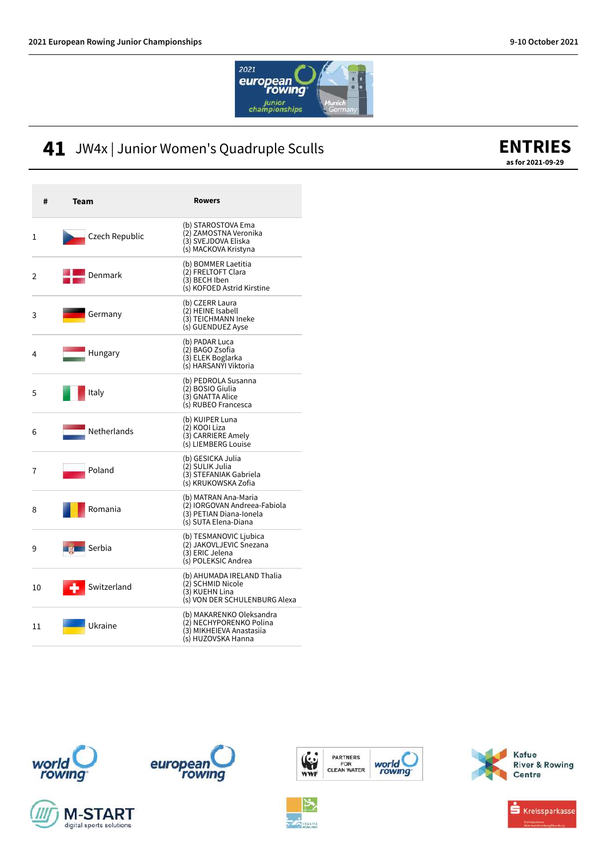![](_page_10_Picture_2.jpeg)

### 41 JW4x | Junior Women's Quadruple Sculls

| #  | Team             | <b>Rowers</b>                                                                                           |
|----|------------------|---------------------------------------------------------------------------------------------------------|
| 1  | Czech Republic   | (b) STAROSTOVA Ema<br>(2) ZAMOSTNA Veronika<br>(3) SVEJDOVA Eliska<br>(s) MACKOVA Kristyna              |
| 2  | Denmark          | (b) BOMMER Laetitia<br>(2) FRELTOFT Clara<br>(3) BECH Iben<br>(s) KOFOED Astrid Kirstine                |
| 3  | Germany          | (b) CZERR Laura<br>(2) HEINE Isabell<br>(3) TEICHMANN Ineke<br>(s) GUENDUEZ Ayse                        |
| 4  | Hungary          | (b) PADAR Luca<br>(2) BAGO Zsofia<br>(3) ELEK Boglarka<br>(s) HARSANYI Viktoria                         |
| 5  | Italy            | (b) PEDROLA Susanna<br>(2) BOSIO Giulia<br>(3) GNATTA Alice<br>(s) RUBEO Francesca                      |
| 6  | Netherlands      | (b) KUIPER Luna<br>(2) KOOI Liza<br>(3) CARRIERE Amely<br>(s) LIEMBERG Louise                           |
| 7  | Poland           | (b) GESICKA Julia<br>(2) SULIK Julia<br>(3) STEFANIAK Gabriela<br>(s) KRUKOWSKA Zofia                   |
| 8  | Romania          | (b) MATRAN Ana-Maria<br>(2) IORGOVAN Andreea-Fabiola<br>(3) PETIAN Diana-Jonela<br>(s) SUTA Elena-Diana |
| 9  | Serbia           | (b) TESMANOVIC Ljubica<br>(2) JAKOVLJEVIC Snezana<br>(3) ERIC Jelena<br>(s) POLEKSIC Andrea             |
| 10 | Switzerland<br>۰ | (b) AHUMADA IRELAND Thalia<br>(2) SCHMID Nicole<br>(3) KUEHN Lina<br>(s) VON DER SCHULENBURG Alexa      |
| 11 | Ukraine          | (b) MAKARENKO Oleksandra<br>(2) NECHYPORENKO Polina<br>(3) MIKHEIEVA Anastasija<br>(s) HUZOVSKA Hanna   |

![](_page_10_Picture_5.jpeg)

![](_page_10_Picture_6.jpeg)

![](_page_10_Picture_7.jpeg)

![](_page_10_Picture_8.jpeg)

![](_page_10_Picture_9.jpeg)

![](_page_10_Figure_10.jpeg)

![](_page_10_Picture_11.jpeg)

![](_page_10_Picture_12.jpeg)

#### **ENTRIES as for 2021-09-29**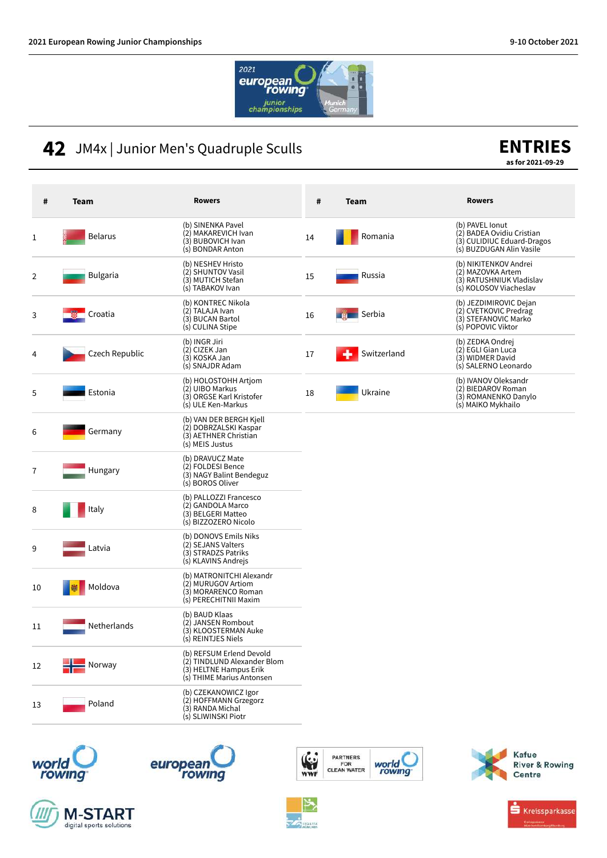![](_page_11_Picture_2.jpeg)

### **42** JM4x | Junior Men's Quadruple Sculls

# **ENTRIES**

**as for 2021-09-29**

| #  | <b>Team</b>           | <b>Rowers</b>                                                                                                  | #  | Team        | <b>Rowers</b>                                                                                          |
|----|-----------------------|----------------------------------------------------------------------------------------------------------------|----|-------------|--------------------------------------------------------------------------------------------------------|
| 1  | <b>Belarus</b>        | (b) SINENKA Pavel<br>(2) MAKAREVICH Ivan<br>(3) BUBOVICH Ivan<br>(s) BONDAR Anton                              | 14 | Romania     | (b) PAVEL Ionut<br>(2) BADEA Ovidiu Cristian<br>(3) CULIDIUC Eduard-Dragos<br>(s) BUZDUGAN Alin Vasile |
| 2  | <b>Bulgaria</b>       | (b) NESHEV Hristo<br>(2) SHUNTOV Vasil<br>(3) MUTICH Stefan<br>(s) TABAKOV Ivan                                | 15 | Russia      | (b) NIKITENKOV Andrei<br>(2) MAZOVKA Artem<br>(3) RATUSHNIUK Vladislav<br>(s) KOLOSOV Viacheslav       |
| 3  | Croatia               | (b) KONTREC Nikola<br>(2) TALAJA Ivan<br>(3) BUCAN Bartol<br>(s) CULINA Stipe                                  | 16 | Serbia      | (b) JEZDIMIROVIC Dejan<br>(2) CVETKOVIC Predrag<br>(3) STEFANOVIC Marko<br>(s) POPOVIC Viktor          |
| 4  | Czech Republic        | (b) INGR Jiri<br>(2) CIZEK Jan<br>(3) KOSKA Jan<br>(s) SNAJDR Adam                                             | 17 | Switzerland | (b) ZEDKA Ondrej<br>(2) EGLI Gian Luca<br>(3) WIDMER David<br>(s) SALERNO Leonardo                     |
| 5  | Estonia               | (b) HOLOSTOHH Artiom<br>(2) UIBO Markus<br>(3) ORGSE Karl Kristofer<br>(s) ULE Ken-Markus                      | 18 | Ukraine     | (b) IVANOV Oleksandr<br>(2) BIEDAROV Roman<br>(3) ROMANENKO Danylo<br>(s) MAIKO Mykhailo               |
| 6  | Germany               | (b) VAN DER BERGH Kjell<br>(2) DOBRZALSKI Kaspar<br>(3) AETHNER Christian<br>(s) MEIS Justus                   |    |             |                                                                                                        |
| 7  | Hungary               | (b) DRAVUCZ Mate<br>(2) FOLDESI Bence<br>(3) NAGY Balint Bendeguz<br>(s) BOROS Oliver                          |    |             |                                                                                                        |
| 8  | Italy                 | (b) PALLOZZI Francesco<br>(2) GANDOLA Marco<br>(3) BELGERI Matteo<br>(s) BIZZOZERO Nicolo                      |    |             |                                                                                                        |
| 9  | Latvia                | (b) DONOVS Emils Niks<br>(2) SEJANS Valters<br>(3) STRADZS Patriks<br>(s) KLAVINS Andrejs                      |    |             |                                                                                                        |
| 10 | Moldova               | (b) MATRONITCHI Alexandr<br>(2) MURUGOV Artiom<br>(3) MORARENCO Roman<br>(s) PERECHITNII Maxim                 |    |             |                                                                                                        |
| 11 | Netherlands           | (b) BAUD Klaas<br>(2) JANSEN Rombout<br>(3) KLOOSTERMAN Auke<br>(s) REINTJES Niels                             |    |             |                                                                                                        |
| 12 | $\blacksquare$ Norway | (b) REFSUM Erlend Devold<br>(2) TINDLUND Alexander Blom<br>(3) HELTNE Hampus Erik<br>(s) THIME Marius Antonsen |    |             |                                                                                                        |
| 13 | Poland                | (b) CZEKANOWICZ Igor<br>(2) HOFFMANN Grzegorz<br>(3) RANDA Michal<br>(s) SLIWINSKI Piotr                       |    |             |                                                                                                        |

![](_page_11_Picture_7.jpeg)

![](_page_11_Picture_8.jpeg)

![](_page_11_Picture_9.jpeg)

![](_page_11_Picture_10.jpeg)

![](_page_11_Picture_11.jpeg)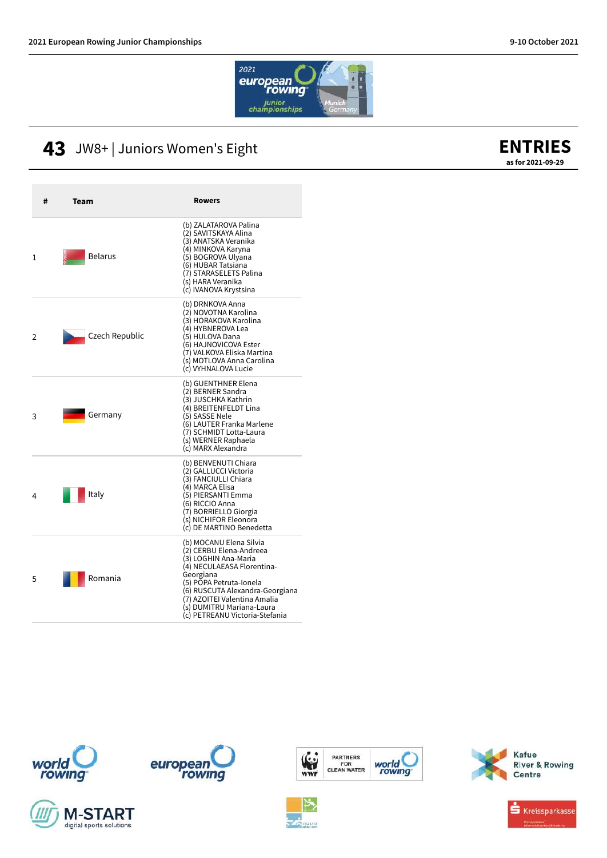![](_page_12_Picture_2.jpeg)

## 43 JW8+ | Juniors Women's Eight

![](_page_12_Picture_4.jpeg)

| # | Team           | <b>Rowers</b>                                                                                                                                                                                                                                                                      |
|---|----------------|------------------------------------------------------------------------------------------------------------------------------------------------------------------------------------------------------------------------------------------------------------------------------------|
| 1 | <b>Belarus</b> | (b) ZALATAROVA Palina<br>(2) SAVITSKAYA Alina<br>(3) ANATSKA Veranika<br>(4) MINKOVA Karyna<br>(5) BOGROVA Ulyana<br>(6) HUBAR Tatsiana<br>(7) STARASELETS Palina<br>(s) HARA Veranika<br>(c) IVANOVA Krystsina                                                                    |
| 2 | Czech Republic | (b) DRNKOVA Anna<br>(2) NOVOTNA Karolina<br>(3) HORAKOVA Karolina<br>(4) HYBNEROVA Lea<br>(5) HULOVA Dana<br>(6) HAJNOVICOVA Ester<br>(7) VALKOVA Eliska Martina<br>(s) MOTLOVA Anna Carolina<br>(c) VYHNALOVA Lucie                                                               |
| 3 | Germany        | (b) GUENTHNER Elena<br>(2) BERNER Sandra<br>(3) JUSCHKA Kathrin<br>(4) BREITENFELDT Lina<br>(5) SASSE Nele<br>(6) LAUTER Franka Marlene<br>(7) SCHMIDT Lotta-Laura<br>(s) WERNER Raphaela<br>(c) MARX Alexandra                                                                    |
| 4 | Italy          | (b) BENVENUTI Chiara<br>(2) GALLUCCI Victoria<br>(3) FANCIULLI Chiara<br>(4) MARCA Elisa<br>(5) PIERSANTI Emma<br>(6) RICCIO Anna<br>(7) BORRIELLO Giorgia<br>(s) NICHIFOR Eleonora<br>(c) DE MARTINO Benedetta                                                                    |
| 5 | Romania        | (b) MOCANU Elena Silvia<br>(2) CERBU Elena-Andreea<br>(3) LOGHIN Ana-Maria<br>(4) NECULAEASA Florentina-<br>Georgiana<br>(5) POPA Petruta-Ionela<br>(6) RUSCUTA Alexandra-Georgiana<br>(7) AZOITEI Valentina Amalia<br>(s) DUMITRU Mariana-Laura<br>(c) PETREANU Victoria-Stefania |

![](_page_12_Picture_6.jpeg)

![](_page_12_Picture_7.jpeg)

![](_page_12_Picture_8.jpeg)

![](_page_12_Picture_9.jpeg)

![](_page_12_Picture_10.jpeg)

![](_page_12_Picture_11.jpeg)

![](_page_12_Picture_12.jpeg)

![](_page_12_Picture_13.jpeg)